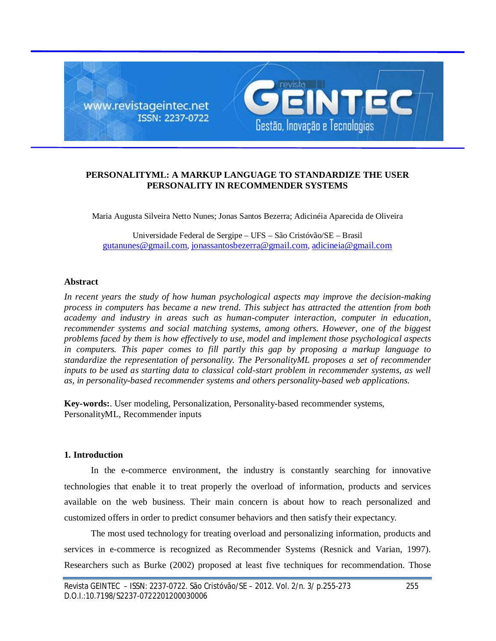

## **PERSONALITYML: A MARKUP LANGUAGE TO STANDARDIZE THE USER PERSONALITY IN RECOMMENDER SYSTEMS**

Maria Augusta Silveira Netto Nunes; Jonas Santos Bezerra; Adicinéia Aparecida de Oliveira

Universidade Federal de Sergipe – UFS – São Cristóvão/SE – Brasil gutanunes@gmail.com, jonassantosbezerra@gmail.com, adicineia@gmail.com

## **Abstract**

*In recent years the study of how human psychological aspects may improve the decision-making process in computers has became a new trend. This subject has attracted the attention from both academy and industry in areas such as human-computer interaction, computer in education, recommender systems and social matching systems, among others. However, one of the biggest problems faced by them is how effectively to use, model and implement those psychological aspects in computers. This paper comes to fill partly this gap by proposing a markup language to standardize the representation of personality. The PersonalityML proposes a set of recommender inputs to be used as starting data to classical cold-start problem in recommender systems, as well as, in personality-based recommender systems and others personality-based web applications.* 

**Key-words:**. User modeling, Personalization, Personality-based recommender systems, PersonalityML, Recommender inputs

## **1. Introduction**

In the e-commerce environment, the industry is constantly searching for innovative technologies that enable it to treat properly the overload of information, products and services available on the web business. Their main concern is about how to reach personalized and customized offers in order to predict consumer behaviors and then satisfy their expectancy.

The most used technology for treating overload and personalizing information, products and services in e-commerce is recognized as Recommender Systems (Resnick and Varian, 1997). Researchers such as Burke (2002) proposed at least five techniques for recommendation. Those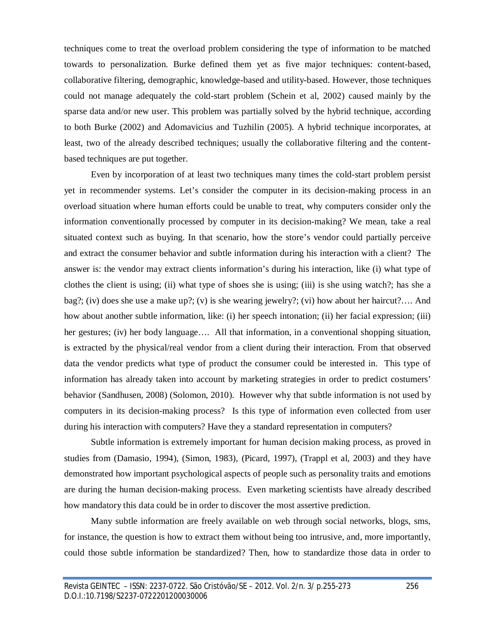techniques come to treat the overload problem considering the type of information to be matched towards to personalization. Burke defined them yet as five major techniques: content-based, collaborative filtering, demographic, knowledge-based and utility-based. However, those techniques could not manage adequately the cold-start problem (Schein et al, 2002) caused mainly by the sparse data and/or new user. This problem was partially solved by the hybrid technique, according to both Burke (2002) and Adomavicius and Tuzhilin (2005). A hybrid technique incorporates, at least, two of the already described techniques; usually the collaborative filtering and the contentbased techniques are put together.

Even by incorporation of at least two techniques many times the cold-start problem persist yet in recommender systems. Let's consider the computer in its decision-making process in an overload situation where human efforts could be unable to treat, why computers consider only the information conventionally processed by computer in its decision-making? We mean, take a real situated context such as buying. In that scenario, how the store's vendor could partially perceive and extract the consumer behavior and subtle information during his interaction with a client? The answer is: the vendor may extract clients information's during his interaction, like (i) what type of clothes the client is using; (ii) what type of shoes she is using; (iii) is she using watch?; has she a bag?; (iv) does she use a make up?; (v) is she wearing jewelry?; (vi) how about her haircut?…. And how about another subtle information, like: (i) her speech intonation; (ii) her facial expression; (iii) her gestures; (iv) her body language.... All that information, in a conventional shopping situation, is extracted by the physical/real vendor from a client during their interaction. From that observed data the vendor predicts what type of product the consumer could be interested in. This type of information has already taken into account by marketing strategies in order to predict costumers' behavior (Sandhusen, 2008) (Solomon, 2010). However why that subtle information is not used by computers in its decision-making process? Is this type of information even collected from user during his interaction with computers? Have they a standard representation in computers?

Subtle information is extremely important for human decision making process, as proved in studies from (Damasio, 1994), (Simon, 1983), (Picard, 1997), (Trappl et al, 2003) and they have demonstrated how important psychological aspects of people such as personality traits and emotions are during the human decision-making process. Even marketing scientists have already described how mandatory this data could be in order to discover the most assertive prediction.

Many subtle information are freely available on web through social networks, blogs, sms, for instance, the question is how to extract them without being too intrusive, and, more importantly, could those subtle information be standardized? Then, how to standardize those data in order to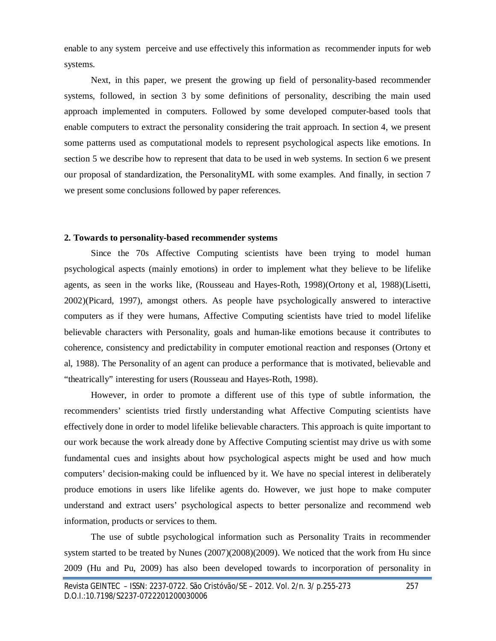enable to any system perceive and use effectively this information as recommender inputs for web systems.

Next, in this paper, we present the growing up field of personality-based recommender systems, followed, in section 3 by some definitions of personality, describing the main used approach implemented in computers. Followed by some developed computer-based tools that enable computers to extract the personality considering the trait approach. In section 4, we present some patterns used as computational models to represent psychological aspects like emotions. In section 5 we describe how to represent that data to be used in web systems. In section 6 we present our proposal of standardization, the PersonalityML with some examples. And finally, in section 7 we present some conclusions followed by paper references.

#### **2. Towards to personality-based recommender systems**

Since the 70s Affective Computing scientists have been trying to model human psychological aspects (mainly emotions) in order to implement what they believe to be lifelike agents, as seen in the works like, (Rousseau and Hayes-Roth, 1998)(Ortony et al, 1988)(Lisetti, 2002)(Picard, 1997), amongst others. As people have psychologically answered to interactive computers as if they were humans, Affective Computing scientists have tried to model lifelike believable characters with Personality, goals and human-like emotions because it contributes to coherence, consistency and predictability in computer emotional reaction and responses (Ortony et al, 1988). The Personality of an agent can produce a performance that is motivated, believable and "theatrically" interesting for users (Rousseau and Hayes-Roth, 1998).

However, in order to promote a different use of this type of subtle information, the recommenders' scientists tried firstly understanding what Affective Computing scientists have effectively done in order to model lifelike believable characters. This approach is quite important to our work because the work already done by Affective Computing scientist may drive us with some fundamental cues and insights about how psychological aspects might be used and how much computers' decision-making could be influenced by it. We have no special interest in deliberately produce emotions in users like lifelike agents do. However, we just hope to make computer understand and extract users' psychological aspects to better personalize and recommend web information, products or services to them.

The use of subtle psychological information such as Personality Traits in recommender system started to be treated by Nunes (2007)(2008)(2009). We noticed that the work from Hu since 2009 (Hu and Pu, 2009) has also been developed towards to incorporation of personality in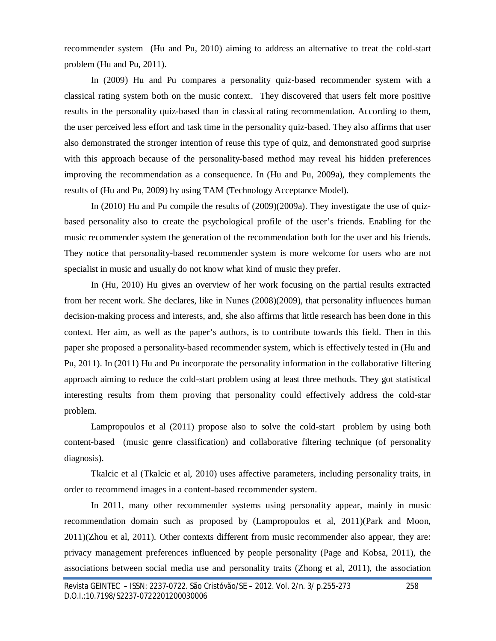recommender system (Hu and Pu, 2010) aiming to address an alternative to treat the cold-start problem (Hu and Pu, 2011).

In (2009) Hu and Pu compares a personality quiz-based recommender system with a classical rating system both on the music context. They discovered that users felt more positive results in the personality quiz-based than in classical rating recommendation. According to them, the user perceived less effort and task time in the personality quiz-based. They also affirms that user also demonstrated the stronger intention of reuse this type of quiz, and demonstrated good surprise with this approach because of the personality-based method may reveal his hidden preferences improving the recommendation as a consequence. In (Hu and Pu, 2009a), they complements the results of (Hu and Pu, 2009) by using TAM (Technology Acceptance Model).

In (2010) Hu and Pu compile the results of (2009)(2009a). They investigate the use of quizbased personality also to create the psychological profile of the user's friends. Enabling for the music recommender system the generation of the recommendation both for the user and his friends. They notice that personality-based recommender system is more welcome for users who are not specialist in music and usually do not know what kind of music they prefer.

In (Hu, 2010) Hu gives an overview of her work focusing on the partial results extracted from her recent work. She declares, like in Nunes (2008)(2009), that personality influences human decision-making process and interests, and, she also affirms that little research has been done in this context. Her aim, as well as the paper's authors, is to contribute towards this field. Then in this paper she proposed a personality-based recommender system, which is effectively tested in (Hu and Pu, 2011). In (2011) Hu and Pu incorporate the personality information in the collaborative filtering approach aiming to reduce the cold-start problem using at least three methods. They got statistical interesting results from them proving that personality could effectively address the cold-star problem.

Lampropoulos et al (2011) propose also to solve the cold-start problem by using both content-based (music genre classification) and collaborative filtering technique (of personality diagnosis).

Tkalcic et al (Tkalcic et al, 2010) uses affective parameters, including personality traits, in order to recommend images in a content-based recommender system.

In 2011, many other recommender systems using personality appear, mainly in music recommendation domain such as proposed by (Lampropoulos et al, 2011)(Park and Moon, 2011)(Zhou et al, 2011). Other contexts different from music recommender also appear, they are: privacy management preferences influenced by people personality (Page and Kobsa, 2011), the associations between social media use and personality traits (Zhong et al, 2011), the association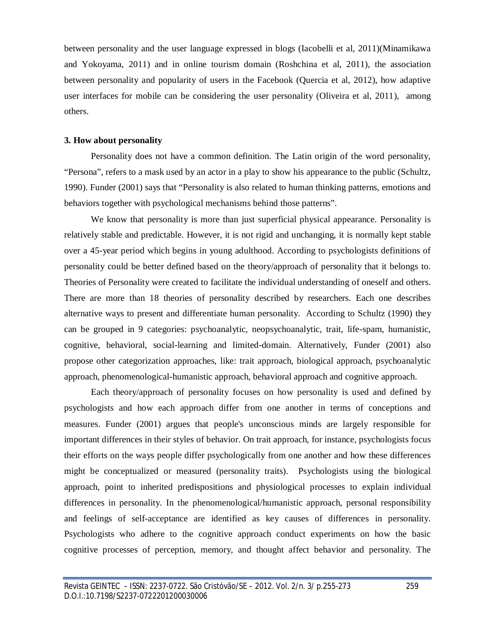between personality and the user language expressed in blogs (Iacobelli et al, 2011)(Minamikawa and Yokoyama, 2011) and in online tourism domain (Roshchina et al, 2011), the association between personality and popularity of users in the Facebook (Quercia et al, 2012), how adaptive user interfaces for mobile can be considering the user personality (Oliveira et al, 2011), among others.

#### **3. How about personality**

Personality does not have a common definition. The Latin origin of the word personality, "Persona", refers to a mask used by an actor in a play to show his appearance to the public (Schultz, 1990). Funder (2001) says that "Personality is also related to human thinking patterns, emotions and behaviors together with psychological mechanisms behind those patterns".

We know that personality is more than just superficial physical appearance. Personality is relatively stable and predictable. However, it is not rigid and unchanging, it is normally kept stable over a 45-year period which begins in young adulthood. According to psychologists definitions of personality could be better defined based on the theory/approach of personality that it belongs to. Theories of Personality were created to facilitate the individual understanding of oneself and others. There are more than 18 theories of personality described by researchers. Each one describes alternative ways to present and differentiate human personality. According to Schultz (1990) they can be grouped in 9 categories: psychoanalytic, neopsychoanalytic, trait, life-spam, humanistic, cognitive, behavioral, social-learning and limited-domain. Alternatively, Funder (2001) also propose other categorization approaches, like: trait approach, biological approach, psychoanalytic approach, phenomenological-humanistic approach, behavioral approach and cognitive approach.

Each theory/approach of personality focuses on how personality is used and defined by psychologists and how each approach differ from one another in terms of conceptions and measures. Funder (2001) argues that people's unconscious minds are largely responsible for important differences in their styles of behavior. On trait approach, for instance, psychologists focus their efforts on the ways people differ psychologically from one another and how these differences might be conceptualized or measured (personality traits). Psychologists using the biological approach, point to inherited predispositions and physiological processes to explain individual differences in personality. In the phenomenological/humanistic approach, personal responsibility and feelings of self-acceptance are identified as key causes of differences in personality. Psychologists who adhere to the cognitive approach conduct experiments on how the basic cognitive processes of perception, memory, and thought affect behavior and personality. The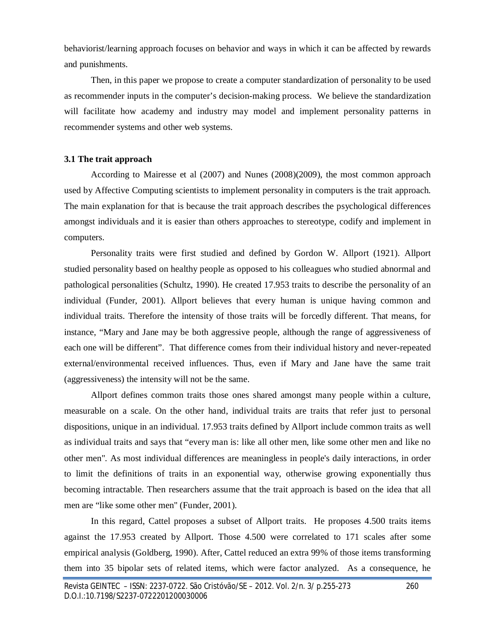behaviorist/learning approach focuses on behavior and ways in which it can be affected by rewards and punishments.

Then, in this paper we propose to create a computer standardization of personality to be used as recommender inputs in the computer's decision-making process. We believe the standardization will facilitate how academy and industry may model and implement personality patterns in recommender systems and other web systems.

### **3.1 The trait approach**

According to Mairesse et al (2007) and Nunes (2008)(2009), the most common approach used by Affective Computing scientists to implement personality in computers is the trait approach. The main explanation for that is because the trait approach describes the psychological differences amongst individuals and it is easier than others approaches to stereotype, codify and implement in computers.

Personality traits were first studied and defined by Gordon W. Allport (1921). Allport studied personality based on healthy people as opposed to his colleagues who studied abnormal and pathological personalities (Schultz, 1990). He created 17.953 traits to describe the personality of an individual (Funder, 2001). Allport believes that every human is unique having common and individual traits. Therefore the intensity of those traits will be forcedly different. That means, for instance, "Mary and Jane may be both aggressive people, although the range of aggressiveness of each one will be different". That difference comes from their individual history and never-repeated external/environmental received influences. Thus, even if Mary and Jane have the same trait (aggressiveness) the intensity will not be the same.

Allport defines common traits those ones shared amongst many people within a culture, measurable on a scale. On the other hand, individual traits are traits that refer just to personal dispositions, unique in an individual. 17.953 traits defined by Allport include common traits as well as individual traits and says that "every man is: like all other men, like some other men and like no other men". As most individual differences are meaningless in people's daily interactions, in order to limit the definitions of traits in an exponential way, otherwise growing exponentially thus becoming intractable. Then researchers assume that the trait approach is based on the idea that all men are "like some other men" (Funder, 2001).

In this regard, Cattel proposes a subset of Allport traits. He proposes 4.500 traits items against the 17.953 created by Allport. Those 4.500 were correlated to 171 scales after some empirical analysis (Goldberg, 1990). After, Cattel reduced an extra 99% of those items transforming them into 35 bipolar sets of related items, which were factor analyzed. As a consequence, he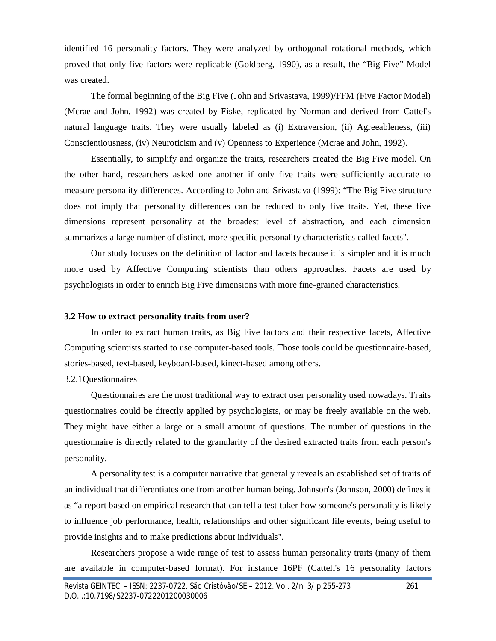identified 16 personality factors. They were analyzed by orthogonal rotational methods, which proved that only five factors were replicable (Goldberg, 1990), as a result, the "Big Five" Model was created.

The formal beginning of the Big Five (John and Srivastava, 1999)/FFM (Five Factor Model) (Mcrae and John, 1992) was created by Fiske, replicated by Norman and derived from Cattel's natural language traits. They were usually labeled as (i) Extraversion, (ii) Agreeableness, (iii) Conscientiousness, (iv) Neuroticism and (v) Openness to Experience (Mcrae and John, 1992).

Essentially, to simplify and organize the traits, researchers created the Big Five model. On the other hand, researchers asked one another if only five traits were sufficiently accurate to measure personality differences. According to John and Srivastava (1999): "The Big Five structure does not imply that personality differences can be reduced to only five traits. Yet, these five dimensions represent personality at the broadest level of abstraction, and each dimension summarizes a large number of distinct, more specific personality characteristics called facets".

Our study focuses on the definition of factor and facets because it is simpler and it is much more used by Affective Computing scientists than others approaches. Facets are used by psychologists in order to enrich Big Five dimensions with more fine-grained characteristics.

#### **3.2 How to extract personality traits from user?**

In order to extract human traits, as Big Five factors and their respective facets, Affective Computing scientists started to use computer-based tools. Those tools could be questionnaire-based, stories-based, text-based, keyboard-based, kinect-based among others.

#### 3.2.1Questionnaires

Questionnaires are the most traditional way to extract user personality used nowadays. Traits questionnaires could be directly applied by psychologists, or may be freely available on the web. They might have either a large or a small amount of questions. The number of questions in the questionnaire is directly related to the granularity of the desired extracted traits from each person's personality.

A personality test is a computer narrative that generally reveals an established set of traits of an individual that differentiates one from another human being. Johnson's (Johnson, 2000) defines it as "a report based on empirical research that can tell a test-taker how someone's personality is likely to influence job performance, health, relationships and other significant life events, being useful to provide insights and to make predictions about individuals".

Researchers propose a wide range of test to assess human personality traits (many of them are available in computer-based format). For instance 16PF (Cattell's 16 personality factors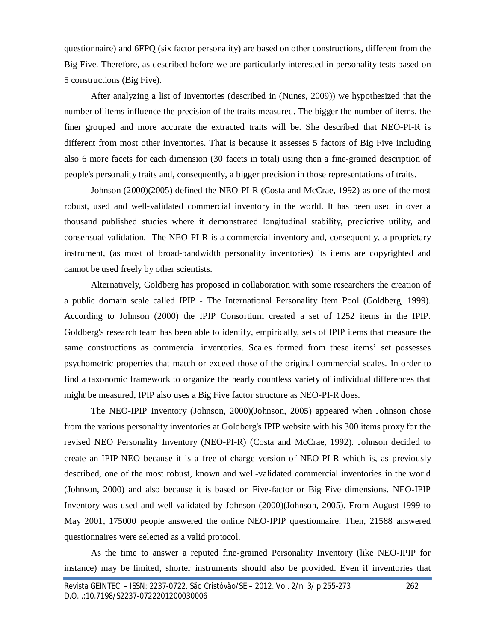questionnaire) and 6FPQ (six factor personality) are based on other constructions, different from the Big Five. Therefore, as described before we are particularly interested in personality tests based on 5 constructions (Big Five).

After analyzing a list of Inventories (described in (Nunes, 2009)) we hypothesized that the number of items influence the precision of the traits measured. The bigger the number of items, the finer grouped and more accurate the extracted traits will be. She described that NEO-PI-R is different from most other inventories. That is because it assesses 5 factors of Big Five including also 6 more facets for each dimension (30 facets in total) using then a fine-grained description of people's personality traits and, consequently, a bigger precision in those representations of traits.

Johnson (2000)(2005) defined the NEO-PI-R (Costa and McCrae, 1992) as one of the most robust, used and well-validated commercial inventory in the world. It has been used in over a thousand published studies where it demonstrated longitudinal stability, predictive utility, and consensual validation. The NEO-PI-R is a commercial inventory and, consequently, a proprietary instrument, (as most of broad-bandwidth personality inventories) its items are copyrighted and cannot be used freely by other scientists.

Alternatively, Goldberg has proposed in collaboration with some researchers the creation of a public domain scale called IPIP - The International Personality Item Pool (Goldberg, 1999). According to Johnson (2000) the IPIP Consortium created a set of 1252 items in the IPIP. Goldberg's research team has been able to identify, empirically, sets of IPIP items that measure the same constructions as commercial inventories. Scales formed from these items' set possesses psychometric properties that match or exceed those of the original commercial scales. In order to find a taxonomic framework to organize the nearly countless variety of individual differences that might be measured, IPIP also uses a Big Five factor structure as NEO-PI-R does.

The NEO-IPIP Inventory (Johnson, 2000)(Johnson, 2005) appeared when Johnson chose from the various personality inventories at Goldberg's IPIP website with his 300 items proxy for the revised NEO Personality Inventory (NEO-PI-R) (Costa and McCrae, 1992). Johnson decided to create an IPIP-NEO because it is a free-of-charge version of NEO-PI-R which is, as previously described, one of the most robust, known and well-validated commercial inventories in the world (Johnson, 2000) and also because it is based on Five-factor or Big Five dimensions. NEO-IPIP Inventory was used and well-validated by Johnson (2000)(Johnson, 2005). From August 1999 to May 2001, 175000 people answered the online NEO-IPIP questionnaire. Then, 21588 answered questionnaires were selected as a valid protocol.

As the time to answer a reputed fine-grained Personality Inventory (like NEO-IPIP for instance) may be limited, shorter instruments should also be provided. Even if inventories that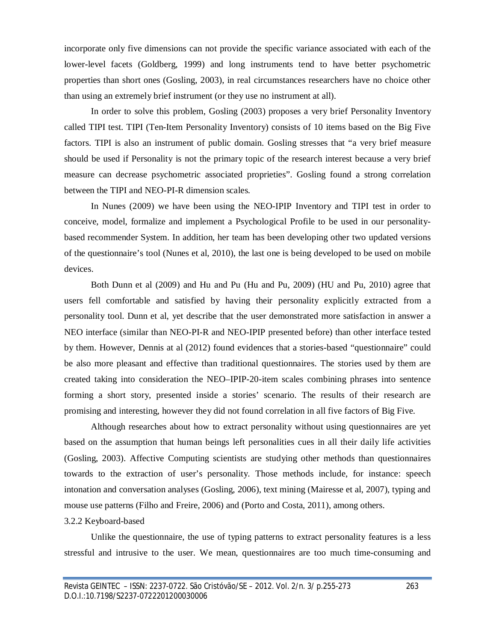incorporate only five dimensions can not provide the specific variance associated with each of the lower-level facets (Goldberg, 1999) and long instruments tend to have better psychometric properties than short ones (Gosling, 2003), in real circumstances researchers have no choice other than using an extremely brief instrument (or they use no instrument at all).

In order to solve this problem, Gosling (2003) proposes a very brief Personality Inventory called TIPI test. TIPI (Ten-Item Personality Inventory) consists of 10 items based on the Big Five factors. TIPI is also an instrument of public domain. Gosling stresses that "a very brief measure should be used if Personality is not the primary topic of the research interest because a very brief measure can decrease psychometric associated proprieties". Gosling found a strong correlation between the TIPI and NEO-PI-R dimension scales.

In Nunes (2009) we have been using the NEO-IPIP Inventory and TIPI test in order to conceive, model, formalize and implement a Psychological Profile to be used in our personalitybased recommender System. In addition, her team has been developing other two updated versions of the questionnaire's tool (Nunes et al, 2010), the last one is being developed to be used on mobile devices.

Both Dunn et al (2009) and Hu and Pu (Hu and Pu, 2009) (HU and Pu, 2010) agree that users fell comfortable and satisfied by having their personality explicitly extracted from a personality tool. Dunn et al, yet describe that the user demonstrated more satisfaction in answer a NEO interface (similar than NEO-PI-R and NEO-IPIP presented before) than other interface tested by them. However, Dennis at al (2012) found evidences that a stories-based "questionnaire" could be also more pleasant and effective than traditional questionnaires. The stories used by them are created taking into consideration the NEO–IPIP-20-item scales combining phrases into sentence forming a short story, presented inside a stories' scenario. The results of their research are promising and interesting, however they did not found correlation in all five factors of Big Five.

Although researches about how to extract personality without using questionnaires are yet based on the assumption that human beings left personalities cues in all their daily life activities (Gosling, 2003). Affective Computing scientists are studying other methods than questionnaires towards to the extraction of user's personality. Those methods include, for instance: speech intonation and conversation analyses (Gosling, 2006), text mining (Mairesse et al, 2007), typing and mouse use patterns (Filho and Freire, 2006) and (Porto and Costa, 2011), among others.

## 3.2.2 Keyboard-based

Unlike the questionnaire, the use of typing patterns to extract personality features is a less stressful and intrusive to the user. We mean, questionnaires are too much time-consuming and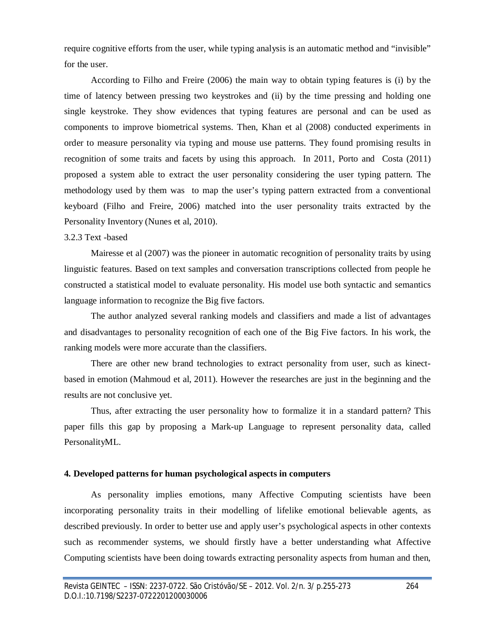require cognitive efforts from the user, while typing analysis is an automatic method and "invisible" for the user.

According to Filho and Freire (2006) the main way to obtain typing features is (i) by the time of latency between pressing two keystrokes and (ii) by the time pressing and holding one single keystroke. They show evidences that typing features are personal and can be used as components to improve biometrical systems. Then, Khan et al (2008) conducted experiments in order to measure personality via typing and mouse use patterns. They found promising results in recognition of some traits and facets by using this approach. In 2011, Porto and Costa (2011) proposed a system able to extract the user personality considering the user typing pattern. The methodology used by them was to map the user's typing pattern extracted from a conventional keyboard (Filho and Freire, 2006) matched into the user personality traits extracted by the Personality Inventory (Nunes et al, 2010).

#### 3.2.3 Text -based

Mairesse et al (2007) was the pioneer in automatic recognition of personality traits by using linguistic features. Based on text samples and conversation transcriptions collected from people he constructed a statistical model to evaluate personality. His model use both syntactic and semantics language information to recognize the Big five factors.

The author analyzed several ranking models and classifiers and made a list of advantages and disadvantages to personality recognition of each one of the Big Five factors. In his work, the ranking models were more accurate than the classifiers.

There are other new brand technologies to extract personality from user, such as kinectbased in emotion (Mahmoud et al, 2011). However the researches are just in the beginning and the results are not conclusive yet.

Thus, after extracting the user personality how to formalize it in a standard pattern? This paper fills this gap by proposing a Mark-up Language to represent personality data, called PersonalityML.

#### **4. Developed patterns for human psychological aspects in computers**

As personality implies emotions, many Affective Computing scientists have been incorporating personality traits in their modelling of lifelike emotional believable agents, as described previously. In order to better use and apply user's psychological aspects in other contexts such as recommender systems, we should firstly have a better understanding what Affective Computing scientists have been doing towards extracting personality aspects from human and then,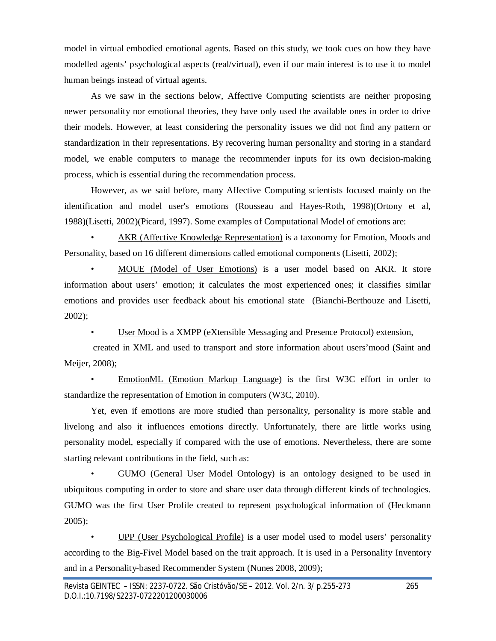model in virtual embodied emotional agents. Based on this study, we took cues on how they have modelled agents' psychological aspects (real/virtual), even if our main interest is to use it to model human beings instead of virtual agents.

As we saw in the sections below, Affective Computing scientists are neither proposing newer personality nor emotional theories, they have only used the available ones in order to drive their models. However, at least considering the personality issues we did not find any pattern or standardization in their representations. By recovering human personality and storing in a standard model, we enable computers to manage the recommender inputs for its own decision-making process, which is essential during the recommendation process.

However, as we said before, many Affective Computing scientists focused mainly on the identification and model user's emotions (Rousseau and Hayes-Roth, 1998)(Ortony et al, 1988)(Lisetti, 2002)(Picard, 1997). Some examples of Computational Model of emotions are:

• AKR (Affective Knowledge Representation) is a taxonomy for Emotion, Moods and Personality, based on 16 different dimensions called emotional components (Lisetti, 2002);

• MOUE (Model of User Emotions) is a user model based on AKR. It store information about users' emotion; it calculates the most experienced ones; it classifies similar emotions and provides user feedback about his emotional state (Bianchi-Berthouze and Lisetti, 2002);

User Mood is a XMPP (eXtensible Messaging and Presence Protocol) extension,

created in XML and used to transport and store information about users'mood (Saint and Meijer, 2008);

• EmotionML (Emotion Markup Language) is the first W3C effort in order to standardize the representation of Emotion in computers (W3C, 2010).

Yet, even if emotions are more studied than personality, personality is more stable and livelong and also it influences emotions directly. Unfortunately, there are little works using personality model, especially if compared with the use of emotions. Nevertheless, there are some starting relevant contributions in the field, such as:

• GUMO (General User Model Ontology) is an ontology designed to be used in ubiquitous computing in order to store and share user data through different kinds of technologies. GUMO was the first User Profile created to represent psychological information of (Heckmann 2005);

• UPP (User Psychological Profile) is a user model used to model users' personality according to the Big-Fivel Model based on the trait approach. It is used in a Personality Inventory and in a Personality-based Recommender System (Nunes 2008, 2009);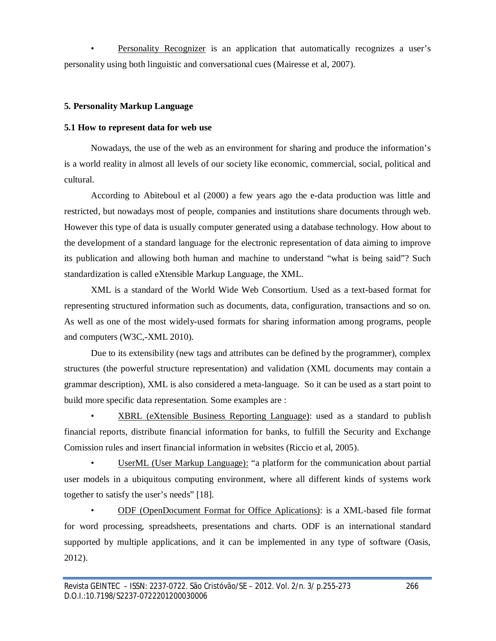• Personality Recognizer is an application that automatically recognizes a user's personality using both linguistic and conversational cues (Mairesse et al, 2007).

# **5. Personality Markup Language**

# **5.1 How to represent data for web use**

Nowadays, the use of the web as an environment for sharing and produce the information's is a world reality in almost all levels of our society like economic, commercial, social, political and cultural.

According to Abiteboul et al (2000) a few years ago the e-data production was little and restricted, but nowadays most of people, companies and institutions share documents through web. However this type of data is usually computer generated using a database technology. How about to the development of a standard language for the electronic representation of data aiming to improve its publication and allowing both human and machine to understand "what is being said"? Such standardization is called eXtensible Markup Language, the XML.

XML is a standard of the World Wide Web Consortium. Used as a text-based format for representing structured information such as documents, data, configuration, transactions and so on. As well as one of the most widely-used formats for sharing information among programs, people and computers (W3C,-XML 2010).

Due to its extensibility (new tags and attributes can be defined by the programmer), complex structures (the powerful structure representation) and validation (XML documents may contain a grammar description), XML is also considered a meta-language. So it can be used as a start point to build more specific data representation. Some examples are :

• XBRL (eXtensible Business Reporting Language): used as a standard to publish financial reports, distribute financial information for banks, to fulfill the Security and Exchange Comission rules and insert financial information in websites (Riccio et al, 2005).

• UserML (User Markup Language): "a platform for the communication about partial user models in a ubiquitous computing environment, where all different kinds of systems work together to satisfy the user's needs" [18].

• ODF (OpenDocument Format for Office Aplications): is a XML-based file format for word processing, spreadsheets, presentations and charts. ODF is an international standard supported by multiple applications, and it can be implemented in any type of software (Oasis, 2012).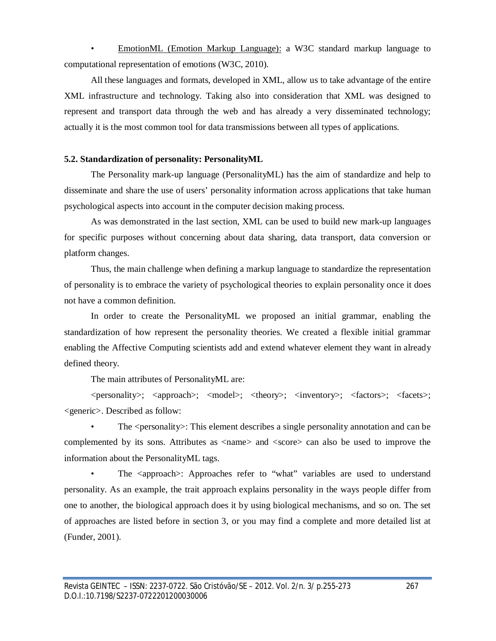• EmotionML (Emotion Markup Language): a W3C standard markup language to computational representation of emotions (W3C, 2010).

All these languages and formats, developed in XML, allow us to take advantage of the entire XML infrastructure and technology. Taking also into consideration that XML was designed to represent and transport data through the web and has already a very disseminated technology; actually it is the most common tool for data transmissions between all types of applications.

## **5.2. Standardization of personality: PersonalityML**

The Personality mark-up language (PersonalityML) has the aim of standardize and help to disseminate and share the use of users' personality information across applications that take human psychological aspects into account in the computer decision making process.

As was demonstrated in the last section, XML can be used to build new mark-up languages for specific purposes without concerning about data sharing, data transport, data conversion or platform changes.

Thus, the main challenge when defining a markup language to standardize the representation of personality is to embrace the variety of psychological theories to explain personality once it does not have a common definition.

In order to create the PersonalityML we proposed an initial grammar, enabling the standardization of how represent the personality theories. We created a flexible initial grammar enabling the Affective Computing scientists add and extend whatever element they want in already defined theory.

The main attributes of PersonalityML are:

<personality>; <approach>; <model>; <theory>; <inventory>; <factors>; <facets>; <generic>. Described as follow:

The <personality>: This element describes a single personality annotation and can be complemented by its sons. Attributes as <name> and <score> can also be used to improve the information about the PersonalityML tags.

• The <approach>: Approaches refer to "what" variables are used to understand personality. As an example, the trait approach explains personality in the ways people differ from one to another, the biological approach does it by using biological mechanisms, and so on. The set of approaches are listed before in section 3, or you may find a complete and more detailed list at (Funder, 2001).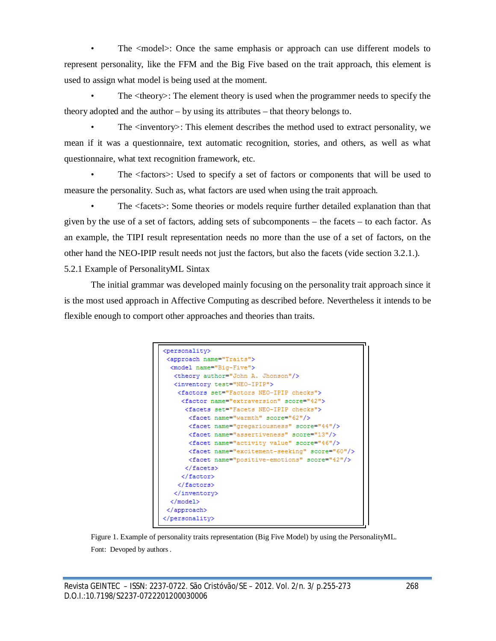The <model>: Once the same emphasis or approach can use different models to represent personality, like the FFM and the Big Five based on the trait approach, this element is used to assign what model is being used at the moment.

The  $\langle$ theory $\rangle$ : The element theory is used when the programmer needs to specify the theory adopted and the author – by using its attributes – that theory belongs to.

• The <inventory>: This element describes the method used to extract personality, we mean if it was a questionnaire, text automatic recognition, stories, and others, as well as what questionnaire, what text recognition framework, etc.

• The <factors>: Used to specify a set of factors or components that will be used to measure the personality. Such as, what factors are used when using the trait approach.

• The <facets>: Some theories or models require further detailed explanation than that given by the use of a set of factors, adding sets of subcomponents – the facets – to each factor. As an example, the TIPI result representation needs no more than the use of a set of factors, on the other hand the NEO-IPIP result needs not just the factors, but also the facets (vide section 3.2.1.). 5.2.1 Example of PersonalityML Sintax

The initial grammar was developed mainly focusing on the personality trait approach since it is the most used approach in Affective Computing as described before. Nevertheless it intends to be flexible enough to comport other approaches and theories than traits.

```
<personality>
<approach name="Traits">
 <model name="Big-Five">
   <theory author="John A. Jhonson"/>
   <inventory test="NEO-IPIP">
   <factors set="Factors NEO-IPIP checks">
    <factor name="extraversion" score="42">
     <facets set="Facets NEO-IPIP checks">
      <facet name="warmth" score="62"/>
      <facet name="gregariousness" score="44"/>
      <facet name="assertiveness" score="13"/>
      <facet name="activity value" score="46"/>
      <facet name="excitement-seeking" score="60"/>
       <facet name="positive-emotions" score="42"/>
      \langle / facets \rangle</factor>
    </factors>
   </inventory>
  \langle / \text{model} \rangle</approach>
</personality>
```
Figure 1. Example of personality traits representation (Big Five Model) by using the PersonalityML. Font: Devoped by authors .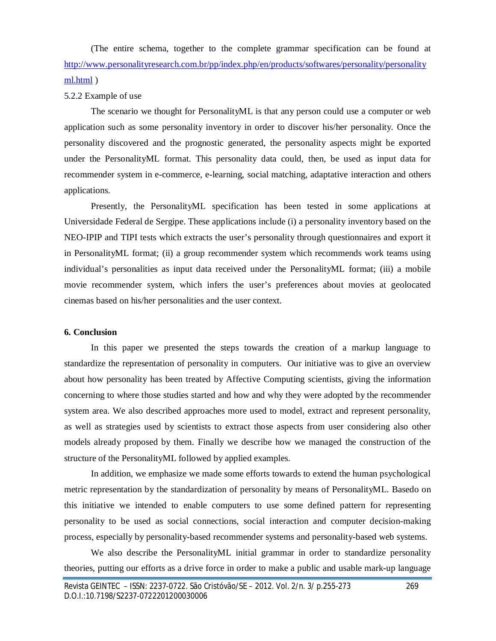(The entire schema, together to the complete grammar specification can be found at http://www.personalityresearch.com.br/pp/index.php/en/products/softwares/personality/personality ml.html )

#### 5.2.2 Example of use

The scenario we thought for PersonalityML is that any person could use a computer or web application such as some personality inventory in order to discover his/her personality. Once the personality discovered and the prognostic generated, the personality aspects might be exported under the PersonalityML format. This personality data could, then, be used as input data for recommender system in e-commerce, e-learning, social matching, adaptative interaction and others applications.

Presently, the PersonalityML specification has been tested in some applications at Universidade Federal de Sergipe. These applications include (i) a personality inventory based on the NEO-IPIP and TIPI tests which extracts the user's personality through questionnaires and export it in PersonalityML format; (ii) a group recommender system which recommends work teams using individual's personalities as input data received under the PersonalityML format; (iii) a mobile movie recommender system, which infers the user's preferences about movies at geolocated cinemas based on his/her personalities and the user context.

#### **6. Conclusion**

In this paper we presented the steps towards the creation of a markup language to standardize the representation of personality in computers. Our initiative was to give an overview about how personality has been treated by Affective Computing scientists, giving the information concerning to where those studies started and how and why they were adopted by the recommender system area. We also described approaches more used to model, extract and represent personality, as well as strategies used by scientists to extract those aspects from user considering also other models already proposed by them. Finally we describe how we managed the construction of the structure of the PersonalityML followed by applied examples.

In addition, we emphasize we made some efforts towards to extend the human psychological metric representation by the standardization of personality by means of PersonalityML. Basedo on this initiative we intended to enable computers to use some defined pattern for representing personality to be used as social connections, social interaction and computer decision-making process, especially by personality-based recommender systems and personality-based web systems.

We also describe the PersonalityML initial grammar in order to standardize personality theories, putting our efforts as a drive force in order to make a public and usable mark-up language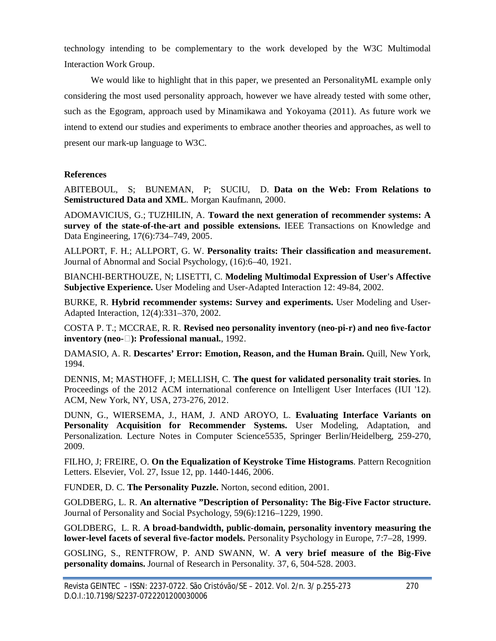technology intending to be complementary to the work developed by the W3C Multimodal Interaction Work Group.

We would like to highlight that in this paper, we presented an PersonalityML example only considering the most used personality approach, however we have already tested with some other, such as the Egogram, approach used by Minamikawa and Yokoyama (2011). As future work we intend to extend our studies and experiments to embrace another theories and approaches, as well to present our mark-up language to W3C.

# **References**

ABITEBOUL, S; BUNEMAN, P; SUCIU, D. **Data on the Web: From Relations to Semistructured Data and XML**. Morgan Kaufmann, 2000.

ADOMAVICIUS, G.; TUZHILIN, A. **Toward the next generation of recommender systems: A survey of the state-of-the-art and possible extensions.** IEEE Transactions on Knowledge and Data Engineering, 17(6):734–749, 2005.

ALLPORT, F. H.; ALLPORT, G. W. **Personality traits: Their classification and measurement.**  Journal of Abnormal and Social Psychology, (16):6–40, 1921.

BIANCHI-BERTHOUZE, N; LISETTI, C. **Modeling Multimodal Expression of User's Affective Subjective Experience.** User Modeling and User-Adapted Interaction 12: 49-84, 2002.

BURKE, R. **Hybrid recommender systems: Survey and experiments.** User Modeling and User-Adapted Interaction, 12(4):331–370, 2002.

COSTA P. T.; MCCRAE, R. R. **Revised neo personality inventory (neo-pi-r) and neo five-factor inventory (neo-): Professional manual.**, 1992.

DAMASIO, A. R. **Descartes' Error: Emotion, Reason, and the Human Brain.** Quill, New York, 1994.

DENNIS, M; MASTHOFF, J; MELLISH, C. **The quest for validated personality trait stories.** In Proceedings of the 2012 ACM international conference on Intelligent User Interfaces (IUI '12). ACM, New York, NY, USA, 273-276, 2012.

DUNN, G., WIERSEMA, J., HAM, J. AND AROYO, L. **Evaluating Interface Variants on Personality Acquisition for Recommender Systems.** User Modeling, Adaptation, and Personalization. Lecture Notes in Computer Science5535, Springer Berlin/Heidelberg, 259-270, 2009.

FILHO, J; FREIRE, O. **On the Equalization of Keystroke Time Histograms**. Pattern Recognition Letters. Elsevier, Vol. 27, Issue 12, pp. 1440-1446, 2006.

FUNDER, D. C. **The Personality Puzzle.** Norton, second edition, 2001.

GOLDBERG, L. R. **An alternative "Description of Personality: The Big-Five Factor structure.** Journal of Personality and Social Psychology, 59(6):1216–1229, 1990.

GOLDBERG, L. R. **A broad-bandwidth, public-domain, personality inventory measuring the lower-level facets of several five-factor models.** Personality Psychology in Europe, 7:7–28, 1999.

GOSLING, S., RENTFROW, P. AND SWANN, W. **A very brief measure of the Big-Five personality domains.** Journal of Research in Personality. 37, 6, 504-528. 2003.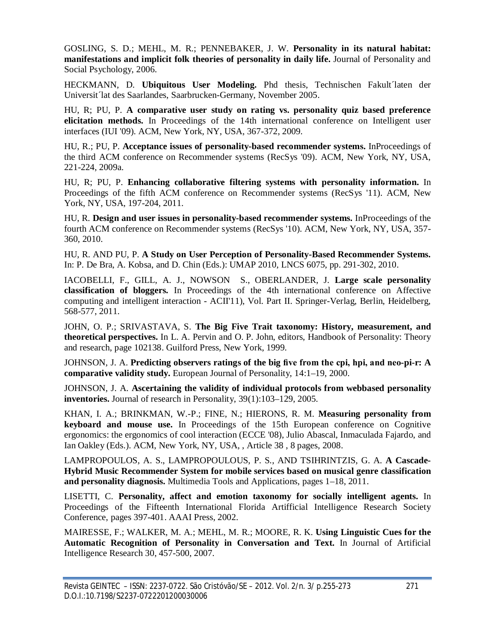GOSLING, S. D.; MEHL, M. R.; PENNEBAKER, J. W. **Personality in its natural habitat: manifestations and implicit folk theories of personality in daily life.** Journal of Personality and Social Psychology, 2006.

HECKMANN, D. **Ubiquitous User Modeling.** Phd thesis, Technischen Fakult´laten der Universit´lat des Saarlandes, Saarbrucken-Germany, November 2005.

HU, R; PU, P. **A comparative user study on rating vs. personality quiz based preference elicitation methods.** In Proceedings of the 14th international conference on Intelligent user interfaces (IUI '09). ACM, New York, NY, USA, 367-372, 2009.

HU, R.; PU, P. **Acceptance issues of personality-based recommender systems.** InProceedings of the third ACM conference on Recommender systems (RecSys '09). ACM, New York, NY, USA, 221-224, 2009a.

HU, R; PU, P. **Enhancing collaborative filtering systems with personality information.** In Proceedings of the fifth ACM conference on Recommender systems (RecSys '11). ACM, New York, NY, USA, 197-204, 2011.

HU, R. **Design and user issues in personality-based recommender systems.** InProceedings of the fourth ACM conference on Recommender systems (RecSys '10). ACM, New York, NY, USA, 357- 360, 2010.

HU, R. AND PU, P. **A Study on User Perception of Personality-Based Recommender Systems.**  In: P. De Bra, A. Kobsa, and D. Chin (Eds.): UMAP 2010, LNCS 6075, pp. 291-302, 2010.

IACOBELLI, F., GILL, A. J., NOWSON S., OBERLANDER, J. **Large scale personality classification of bloggers.** In Proceedings of the 4th international conference on Affective computing and intelligent interaction - ACII'11), Vol. Part II. Springer-Verlag, Berlin, Heidelberg, 568-577, 2011.

JOHN, O. P.; SRIVASTAVA, S. **The Big Five Trait taxonomy: History, measurement, and theoretical perspectives.** In L. A. Pervin and O. P. John, editors, Handbook of Personality: Theory and research, page 102138. Guilford Press, New York, 1999.

JOHNSON, J. A. **Predicting observers ratings of the big five from the cpi, hpi, and neo-pi-r: A comparative validity study.** European Journal of Personality, 14:1–19, 2000.

JOHNSON, J. A. **Ascertaining the validity of individual protocols from webbased personality inventories.** Journal of research in Personality, 39(1):103–129, 2005.

KHAN, I. A.; BRINKMAN, W.-P.; FINE, N.; HIERONS, R. M. **Measuring personality from keyboard and mouse use.** In Proceedings of the 15th European conference on Cognitive ergonomics: the ergonomics of cool interaction (ECCE '08), Julio Abascal, Inmaculada Fajardo, and Ian Oakley (Eds.). ACM, New York, NY, USA, , Article 38 , 8 pages, 2008.

LAMPROPOULOS, A. S., LAMPROPOULOUS, P. S., AND TSIHRINTZIS, G. A. **A Cascade-Hybrid Music Recommender System for mobile services based on musical genre classification and personality diagnosis.** Multimedia Tools and Applications, pages 1–18, 2011.

LISETTI, C. **Personality, affect and emotion taxonomy for socially intelligent agents.** In Proceedings of the Fifteenth International Florida Artifficial Intelligence Research Society Conference, pages 397-401. AAAI Press, 2002.

MAIRESSE, F.; WALKER, M. A.; MEHL, M. R.; MOORE, R. K. **Using Linguistic Cues for the Automatic Recognition of Personality in Conversation and Text.** In Journal of Artificial Intelligence Research 30, 457-500, 2007.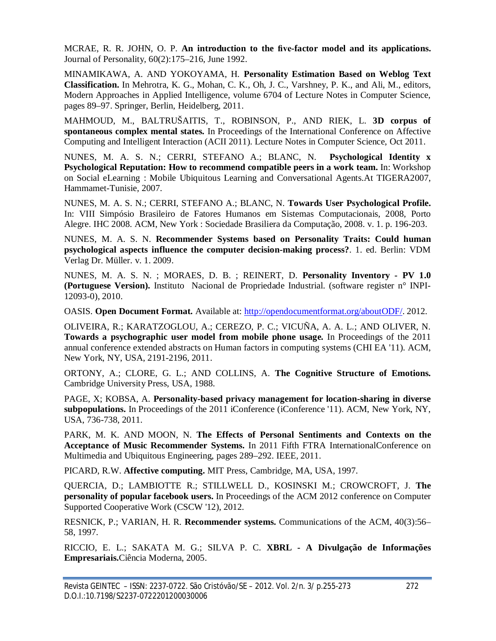MCRAE, R. R. JOHN, O. P. **An introduction to the five-factor model and its applications.** Journal of Personality, 60(2):175–216, June 1992.

MINAMIKAWA, A. AND YOKOYAMA, H. **Personality Estimation Based on Weblog Text Classification.** In Mehrotra, K. G., Mohan, C. K., Oh, J. C., Varshney, P. K., and Ali, M., editors, Modern Approaches in Applied Intelligence, volume 6704 of Lecture Notes in Computer Science, pages 89–97. Springer, Berlin, Heidelberg, 2011.

MAHMOUD, M., BALTRUŠAITIS, T., ROBINSON, P., AND RIEK, L. **3D corpus of spontaneous complex mental states.** In Proceedings of the International Conference on Affective Computing and Intelligent Interaction (ACII 2011). Lecture Notes in Computer Science, Oct 2011.

NUNES, M. A. S. N.; CERRI, STEFANO A.; BLANC, N. **Psychological Identity x Psychological Reputation: How to recommend compatible peers in a work team.** In: Workshop on Social eLearning : Mobile Ubiquitous Learning and Conversational Agents.At TIGERA2007, Hammamet-Tunisie, 2007.

NUNES, M. A. S. N.; CERRI, STEFANO A.; BLANC, N. **Towards User Psychological Profile.** In: VIII Simpósio Brasileiro de Fatores Humanos em Sistemas Computacionais, 2008, Porto Alegre. IHC 2008. ACM, New York : Sociedade Brasiliera da Computação, 2008. v. 1. p. 196-203.

NUNES, M. A. S. N. **Recommender Systems based on Personality Traits: Could human psychological aspects influence the computer decision-making process?**. 1. ed. Berlin: VDM Verlag Dr. Müller. v. 1. 2009.

NUNES, M. A. S. N. ; MORAES, D. B. ; REINERT, D. **Personality Inventory - PV 1.0 (Portuguese Version).** Instituto Nacional de Propriedade Industrial. (software register n° INPI-12093-0), 2010.

OASIS. **Open Document Format.** Available at: http://opendocumentformat.org/aboutODF/. 2012.

OLIVEIRA, R.; KARATZOGLOU, A.; CEREZO, P. C.; VICUÑA, A. A. L.; AND OLIVER, N. **Towards a psychographic user model from mobile phone usage.** In Proceedings of the 2011 annual conference extended abstracts on Human factors in computing systems (CHI EA '11). ACM, New York, NY, USA, 2191-2196, 2011.

ORTONY, A.; CLORE, G. L.; AND COLLINS, A. **The Cognitive Structure of Emotions.** Cambridge University Press, USA, 1988.

PAGE, X; KOBSA, A. **Personality-based privacy management for location-sharing in diverse subpopulations.** In Proceedings of the 2011 iConference (iConference '11). ACM, New York, NY, USA, 736-738, 2011.

PARK, M. K. AND MOON, N. **The Effects of Personal Sentiments and Contexts on the Acceptance of Music Recommender Systems.** In 2011 Fifth FTRA InternationalConference on Multimedia and Ubiquitous Engineering, pages 289–292. IEEE, 2011.

PICARD, R.W. **Affective computing.** MIT Press, Cambridge, MA, USA, 1997.

QUERCIA, D.; LAMBIOTTE R.; STILLWELL D., KOSINSKI M.; CROWCROFT, J. **The personality of popular facebook users.** In Proceedings of the ACM 2012 conference on Computer Supported Cooperative Work (CSCW '12), 2012.

RESNICK, P.; VARIAN, H. R. **Recommender systems.** Communications of the ACM, 40(3):56– 58, 1997.

RICCIO, E. L.; SAKATA M. G.; SILVA P. C. **XBRL - A Divulgação de Informações Empresariais.**Ciência Moderna, 2005.